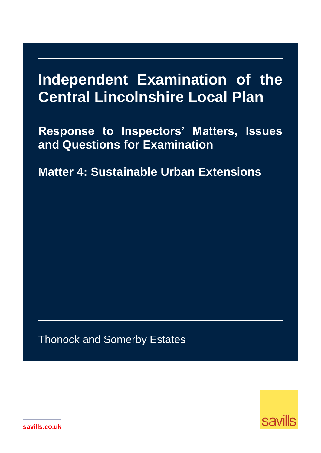# **Independent Examination of the Central Lincolnshire Local Plan**

**Response to Inspectors' Matters, Issues and Questions for Examination** 

**Matter 4: Sustainable Urban Extensions**

Thonock and Somerby Estates



**savills.co.uk**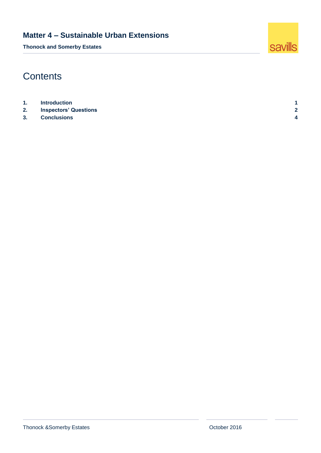**Thonock and Somerby Estates**



# **Contents**

| 1.             | <b>Introduction</b>          |                |
|----------------|------------------------------|----------------|
| 2.             | <b>Inspectors' Questions</b> |                |
| 3 <sub>1</sub> | <b>Conclusions</b>           | $\overline{ }$ |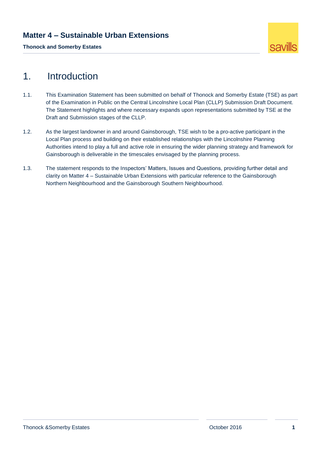**Thonock and Somerby Estates**



## <span id="page-2-0"></span>1. Introduction

- 1.1. This Examination Statement has been submitted on behalf of Thonock and Somerby Estate (TSE) as part of the Examination in Public on the Central Lincolnshire Local Plan (CLLP) Submission Draft Document. The Statement highlights and where necessary expands upon representations submitted by TSE at the Draft and Submission stages of the CLLP.
- 1.2. As the largest landowner in and around Gainsborough, TSE wish to be a pro-active participant in the Local Plan process and building on their established relationships with the Lincolnshire Planning Authorities intend to play a full and active role in ensuring the wider planning strategy and framework for Gainsborough is deliverable in the timescales envisaged by the planning process.
- 1.3. The statement responds to the Inspectors' Matters, Issues and Questions, providing further detail and clarity on Matter 4 – Sustainable Urban Extensions with particular reference to the Gainsborough Northern Neighbourhood and the Gainsborough Southern Neighbourhood.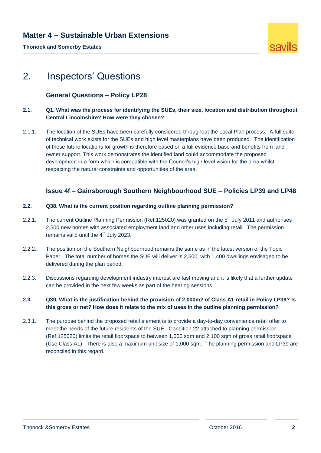**Thonock and Somerby Estates**



# <span id="page-3-0"></span>2. Inspectors' Questions

#### **General Questions – Policy LP28**

#### **2.1. Q1. What was the process for identifying the SUEs, their size, location and distribution throughout Central Lincolnshire? How were they chosen?**

2.1.1. The location of the SUEs have been carefully considered throughout the Local Plan process. A full suite of technical work exists for the SUEs and high level masterplans have been produced. The identification of these future locations for growth is therefore based on a full evidence base and benefits from land owner support. This work demonstrates the identified land could accommodate the proposed development in a form which is compatible with the Council's high level vision for the area whilst respecting the natural constraints and opportunities of the area.

#### **Issue 4f – Gainsborough Southern Neighbourhood SUE – Policies LP39 and LP48**

#### **2.2. Q38. What is the current position regarding outline planning permission?**

- 2.2.1. The current Outline Planning Permission (Ref:125020) was granted on the 5<sup>th</sup> July 2011 and authorises 2,500 new homes with associated employment land and other uses including retail. The permission remains valid until the  $4<sup>th</sup>$  July 2023.
- 2.2.2. The position on the Southern Neighbourhood remains the same as in the latest version of the Topic Paper. The total number of homes the SUE will deliver is 2,500, with 1,400 dwellings envisaged to be delivered during the plan period.
- 2.2.3. Discussions regarding development industry interest are fast moving and it is likely that a further update can be provided in the next few weeks as part of the hearing sessions.

#### **2.3. Q39. What is the justification behind the provision of 2,000m2 of Class A1 retail in Policy LP39? Is this gross or net? How does it relate to the mix of uses in the outline planning permission?**

2.3.1. The purpose behind the proposed retail element is to provide a day-to-day convenience retail offer to meet the needs of the future residents of the SUE. Condition 22 attached to planning permission (Ref:125020) limits the retail floorspace to between 1,000 sqm and 2,100 sqm of gross retail floorspace (Use Class A1). There is also a maximum unit size of 1,000 sqm. The planning permission and LP39 are reconciled in this regard.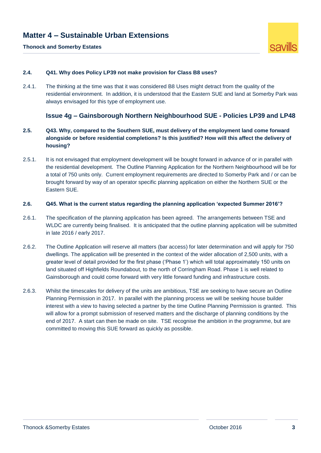#### **Thonock and Somerby Estates**



#### **2.4. Q41. Why does Policy LP39 not make provision for Class B8 uses?**

2.4.1. The thinking at the time was that it was considered B8 Uses might detract from the quality of the residential environment. In addition, it is understood that the Eastern SUE and land at Somerby Park was always envisaged for this type of employment use.

#### **Issue 4g – Gainsborough Northern Neighbourhood SUE - Policies LP39 and LP48**

- **2.5. Q43. Why, compared to the Southern SUE, must delivery of the employment land come forward alongside or before residential completions? Is this justified? How will this affect the delivery of housing?**
- 2.5.1. It is not envisaged that employment development will be bought forward in advance of or in parallel with the residential development. The Outline Planning Application for the Northern Neighbourhood will be for a total of 750 units only. Current employment requirements are directed to Somerby Park and / or can be brought forward by way of an operator specific planning application on either the Northern SUE or the Eastern SUE.

#### **2.6. Q45. What is the current status regarding the planning application 'expected Summer 2016'?**

- 2.6.1. The specification of the planning application has been agreed. The arrangements between TSE and WLDC are currently being finalised. It is anticipated that the outline planning application will be submitted in late 2016 / early 2017.
- 2.6.2. The Outline Application will reserve all matters (bar access) for later determination and will apply for 750 dwellings. The application will be presented in the context of the wider allocation of 2,500 units, with a greater level of detail provided for the first phase ('Phase 1') which will total approximately 150 units on land situated off Highfields Roundabout, to the north of Corringham Road. Phase 1 is well related to Gainsborough and could come forward with very little forward funding and infrastructure costs.
- 2.6.3. Whilst the timescales for delivery of the units are ambitious, TSE are seeking to have secure an Outline Planning Permission in 2017. In parallel with the planning process we will be seeking house builder interest with a view to having selected a partner by the time Outline Planning Permission is granted. This will allow for a prompt submission of reserved matters and the discharge of planning conditions by the end of 2017. A start can then be made on site. TSE recognise the ambition in the programme, but are committed to moving this SUE forward as quickly as possible.